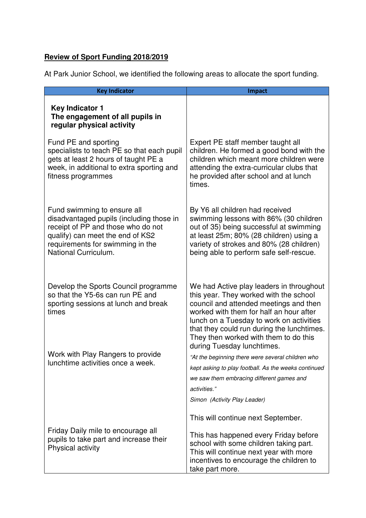## **Review of Sport Funding 2018/2019**

At Park Junior School, we identified the following areas to allocate the sport funding.

| <b>Key Indicator</b>                                                                                                                                                                                          | <b>Impact</b>                                                                                                                                                                                                                                                                                                                                                                                                                                                                                      |
|---------------------------------------------------------------------------------------------------------------------------------------------------------------------------------------------------------------|----------------------------------------------------------------------------------------------------------------------------------------------------------------------------------------------------------------------------------------------------------------------------------------------------------------------------------------------------------------------------------------------------------------------------------------------------------------------------------------------------|
| <b>Key Indicator 1</b><br>The engagement of all pupils in<br>regular physical activity                                                                                                                        |                                                                                                                                                                                                                                                                                                                                                                                                                                                                                                    |
| Fund PE and sporting<br>specialists to teach PE so that each pupil<br>gets at least 2 hours of taught PE a<br>week, in additional to extra sporting and<br>fitness programmes                                 | Expert PE staff member taught all<br>children. He formed a good bond with the<br>children which meant more children were<br>attending the extra-curricular clubs that<br>he provided after school and at lunch<br>times.                                                                                                                                                                                                                                                                           |
| Fund swimming to ensure all<br>disadvantaged pupils (including those in<br>receipt of PP and those who do not<br>qualify) can meet the end of KS2<br>requirements for swimming in the<br>National Curriculum. | By Y6 all children had received<br>swimming lessons with 86% (30 children<br>out of 35) being successful at swimming<br>at least 25m; 80% (28 children) using a<br>variety of strokes and 80% (28 children)<br>being able to perform safe self-rescue.                                                                                                                                                                                                                                             |
| Develop the Sports Council programme<br>so that the Y5-6s can run PE and<br>sporting sessions at lunch and break<br>times<br>Work with Play Rangers to provide<br>lunchtime activities once a week.           | We had Active play leaders in throughout<br>this year. They worked with the school<br>council and attended meetings and then<br>worked with them for half an hour after<br>lunch on a Tuesday to work on activities<br>that they could run during the lunchtimes.<br>They then worked with them to do this<br>during Tuesday lunchtimes.<br>"At the beginning there were several children who<br>kept asking to play football. As the weeks continued<br>we saw them embracing different games and |
| Friday Daily mile to encourage all<br>pupils to take part and increase their<br>Physical activity                                                                                                             | activities."<br>Simon (Activity Play Leader)<br>This will continue next September.<br>This has happened every Friday before<br>school with some children taking part.<br>This will continue next year with more<br>incentives to encourage the children to<br>take part more.                                                                                                                                                                                                                      |